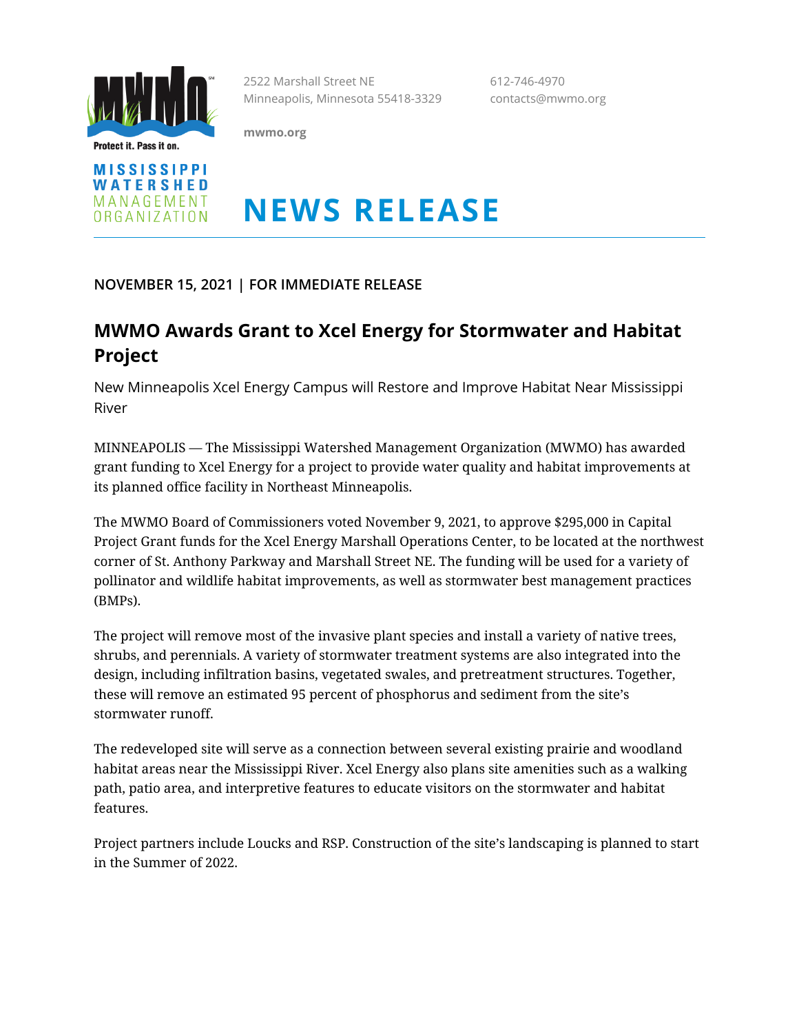

Protect it. Pass it on.

**mwmo.org**

2522 Marshall Street NE 612-746-4970 Minneapolis, Minnesota 55418-3329 contacts@mwmo.org

**MISSISSIPPI** WATERSHED MANAGEMENT ORGANIZATION

# **NEWS RELEASE**

**NOVEMBER 15, 2021 | FOR IMMEDIATE RELEASE**

## **MWMO Awards Grant to Xcel Energy for Stormwater and Habitat Project**

New Minneapolis Xcel Energy Campus will Restore and Improve Habitat Near Mississippi River

MINNEAPOLIS — The Mississippi Watershed Management Organization (MWMO) has awarded grant funding to Xcel Energy for a project to provide water quality and habitat improvements at its planned office facility in Northeast Minneapolis.

The MWMO Board of Commissioners voted November 9, 2021, to approve \$295,000 in Capital Project Grant funds for the Xcel Energy Marshall Operations Center, to be located at the northwest corner of St. Anthony Parkway and Marshall Street NE. The funding will be used for a variety of pollinator and wildlife habitat improvements, as well as stormwater best management practices (BMPs).

The project will remove most of the invasive plant species and install a variety of native trees, shrubs, and perennials. A variety of stormwater treatment systems are also integrated into the design, including infiltration basins, vegetated swales, and pretreatment structures. Together, these will remove an estimated 95 percent of phosphorus and sediment from the site's stormwater runoff.

The redeveloped site will serve as a connection between several existing prairie and woodland habitat areas near the Mississippi River. Xcel Energy also plans site amenities such as a walking path, patio area, and interpretive features to educate visitors on the stormwater and habitat features.

Project partners include Loucks and RSP. Construction of the site's landscaping is planned to start in the Summer of 2022.